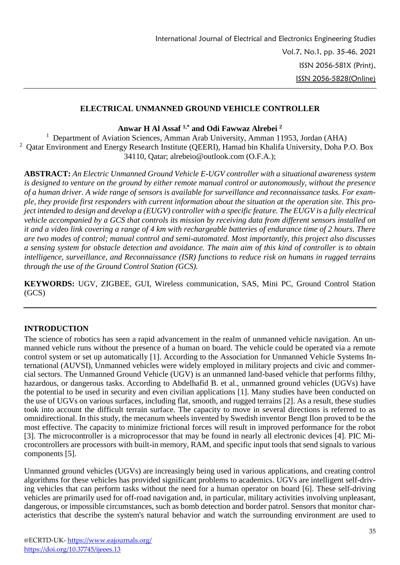### **ELECTRICAL UNMANNED GROUND VEHICLE CONTROLLER**

**Anwar H Al Assaf 1,\* and Odi Fawwaz Alrebei <sup>2</sup>**

<sup>1</sup> Department of Aviation Sciences, Amman Arab University, Amman 11953, Jordan (AHA) <sup>2</sup> Qatar Environment and Energy Research Institute (QEERI), Hamad bin Khalifa University, Doha P.O. Box 34110, Qatar; alrebeio@outlook.com (O.F.A.);

**ABSTRACT:** *An Electric Unmanned Ground Vehicle E-UGV controller with a situational awareness system is designed to venture on the ground by either remote manual control or autonomously, without the presence of a human driver. A wide range of sensors is available for surveillance and reconnaissance tasks. For example, they provide first responders with current information about the situation at the operation site. This project intended to design and develop a (EUGV) controller with a specific feature. The EUGV is a fully electrical vehicle accompanied by a GCS that controls its mission by receiving data from different sensors installed on it and a video link covering a range of 4 km with rechargeable batteries of endurance time of 2 hours. There are two modes of control; manual control and semi-automated. Most importantly, this project also discusses a sensing system for obstacle detection and avoidance. The main aim of this kind of controller is to obtain intelligence, surveillance, and Reconnaissance (ISR) functions to reduce risk on humans in rugged terrains through the use of the Ground Control Station (GCS).*

**KEYWORDS:** UGV, ZIGBEE, GUI, Wireless communication, SAS, Mini PC, Ground Control Station (GCS)

# **INTRODUCTION**

The science of robotics has seen a rapid advancement in the realm of unmanned vehicle navigation. An unmanned vehicle runs without the presence of a human on board. The vehicle could be operated via a remote control system or set up automatically [1]. According to the Association for Unmanned Vehicle Systems International (AUVSI), Unmanned vehicles were widely employed in military projects and civic and commercial sectors. The Unmanned Ground Vehicle (UGV) is an unmanned land-based vehicle that performs filthy, hazardous, or dangerous tasks. According to Abdelhafid B. et al., unmanned ground vehicles (UGVs) have the potential to be used in security and even civilian applications [1]. Many studies have been conducted on the use of UGVs on various surfaces, including flat, smooth, and rugged terrains [2]. As a result, these studies took into account the difficult terrain surface. The capacity to move in several directions is referred to as omnidirectional. In this study, the mecanum wheels invented by Swedish inventor Bengt Ilon proved to be the most effective. The capacity to minimize frictional forces will result in improved performance for the robot [3]. The microcontroller is a microprocessor that may be found in nearly all electronic devices [4]. PIC Microcontrollers are processors with built-in memory, RAM, and specific input tools that send signals to various components [5].

Unmanned ground vehicles (UGVs) are increasingly being used in various applications, and creating control algorithms for these vehicles has provided significant problems to academics. UGVs are intelligent self-driving vehicles that can perform tasks without the need for a human operator on board [6]. These self-driving vehicles are primarily used for off-road navigation and, in particular, military activities involving unpleasant, dangerous, or impossible circumstances, such as bomb detection and border patrol. Sensors that monitor characteristics that describe the system's natural behavior and watch the surrounding environment are used to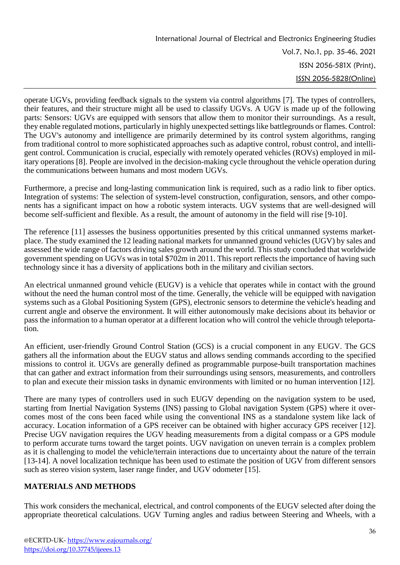operate UGVs, providing feedback signals to the system via control algorithms [7]. The types of controllers, their features, and their structure might all be used to classify UGVs. A UGV is made up of the following parts: Sensors: UGVs are equipped with sensors that allow them to monitor their surroundings. As a result, they enable regulated motions, particularly in highly unexpected settings like battlegrounds or flames. Control: The UGV's autonomy and intelligence are primarily determined by its control system algorithms, ranging from traditional control to more sophisticated approaches such as adaptive control, robust control, and intelligent control. Communication is crucial, especially with remotely operated vehicles (ROVs) employed in military operations [8]. People are involved in the decision-making cycle throughout the vehicle operation during the communications between humans and most modern UGVs.

Furthermore, a precise and long-lasting communication link is required, such as a radio link to fiber optics. Integration of systems: The selection of system-level construction, configuration, sensors, and other components has a significant impact on how a robotic system interacts. UGV systems that are well-designed will become self-sufficient and flexible. As a result, the amount of autonomy in the field will rise [9-10].

The reference [11] assesses the business opportunities presented by this critical unmanned systems marketplace. The study examined the 12 leading national markets for unmanned ground vehicles (UGV) by sales and assessed the wide range of factors driving sales growth around the world. This study concluded that worldwide government spending on UGVs was in total \$702m in 2011. This report reflects the importance of having such technology since it has a diversity of applications both in the military and civilian sectors.

An electrical unmanned ground vehicle (EUGV) is a vehicle that operates while in contact with the ground without the need the human control most of the time. Generally, the vehicle will be equipped with navigation systems such as a Global Positioning System (GPS), electronic sensors to determine the vehicle's heading and current angle and observe the environment. It will either autonomously make decisions about its behavior or pass the information to a human operator at a different location who will control the vehicle through teleportation.

An efficient, user-friendly Ground Control Station (GCS) is a crucial component in any EUGV. The GCS gathers all the information about the EUGV status and allows sending commands according to the specified missions to control it. UGVs are generally defined as programmable purpose-built transportation machines that can gather and extract information from their surroundings using sensors, measurements, and controllers to plan and execute their mission tasks in dynamic environments with limited or no human intervention [12].

There are many types of controllers used in such EUGV depending on the navigation system to be used, starting from Inertial Navigation Systems (INS) passing to Global navigation System (GPS) where it overcomes most of the cons been faced while using the conventional INS as a standalone system like lack of accuracy. Location information of a GPS receiver can be obtained with higher accuracy GPS receiver [12]. Precise UGV navigation requires the UGV heading measurements from a digital compass or a GPS module to perform accurate turns toward the target points. UGV navigation on uneven terrain is a complex problem as it is challenging to model the vehicle/terrain interactions due to uncertainty about the nature of the terrain [13-14]. A novel localization technique has been used to estimate the position of UGV from different sensors such as stereo vision system, laser range finder, and UGV odometer [15].

# **MATERIALS AND METHODS**

This work considers the mechanical, electrical, and control components of the EUGV selected after doing the appropriate theoretical calculations. UGV Turning angles and radius between Steering and Wheels, with a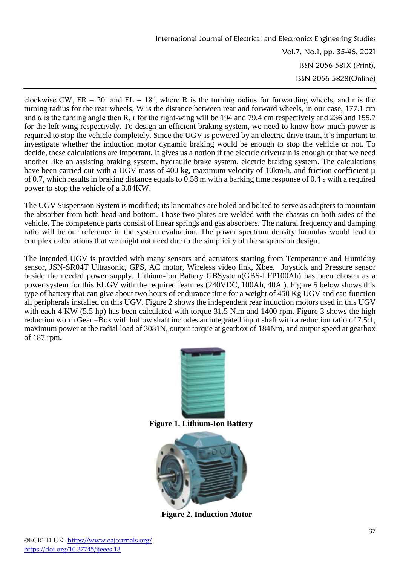clockwise CW,  $FR = 20^{\circ}$  and  $FL = 18^{\circ}$ , where R is the turning radius for forwarding wheels, and r is the turning radius for the rear wheels, W is the distance between rear and forward wheels, in our case, 177.1 cm and  $\alpha$  is the turning angle then R, r for the right-wing will be 194 and 79.4 cm respectively and 236 and 155.7 for the left-wing respectively. To design an efficient braking system, we need to know how much power is required to stop the vehicle completely. Since the UGV is powered by an electric drive train, it's important to investigate whether the induction motor dynamic braking would be enough to stop the vehicle or not. To decide, these calculations are important. It gives us a notion if the electric drivetrain is enough or that we need another like an assisting braking system, hydraulic brake system, electric braking system. The calculations have been carried out with a UGV mass of 400 kg, maximum velocity of 10km/h, and friction coefficient  $\mu$ of 0.7, which results in braking distance equals to 0.58 m with a barking time response of 0.4 s with a required power to stop the vehicle of a 3.84KW.

The UGV Suspension System is modified; its kinematics are holed and bolted to serve as adapters to mountain the absorber from both head and bottom. Those two plates are welded with the chassis on both sides of the vehicle. The competence parts consist of linear springs and gas absorbers. The natural frequency and damping ratio will be our reference in the system evaluation. The power spectrum density formulas would lead to complex calculations that we might not need due to the simplicity of the suspension design.

The intended UGV is provided with many sensors and actuators starting from Temperature and Humidity sensor, JSN-SR04T Ultrasonic, GPS, AC motor, Wireless video link, Xbee. Joystick and Pressure sensor beside the needed power supply. Lithium-Ion Battery GBSystem(GBS-LFP100Ah) has been chosen as a power system for this EUGV with the required features (240VDC, 100Ah, 40A ). Figure 5 below shows this type of battery that can give about two hours of endurance time for a weight of 450 Kg UGV and can function all peripherals installed on this UGV. Figure 2 shows the independent rear induction motors used in this UGV with each 4 KW (5.5 hp) has been calculated with torque 31.5 N.m and 1400 rpm. Figure 3 shows the high reduction worm Gear –Box with hollow shaft includes an integrated input shaft with a reduction ratio of 7.5:1, maximum power at the radial load of 3081N, output torque at gearbox of 184Nm, and output speed at gearbox of 187 rpm**.**



**Figure 1. Lithium-Ion Battery**



**Figure 2. Induction Motor**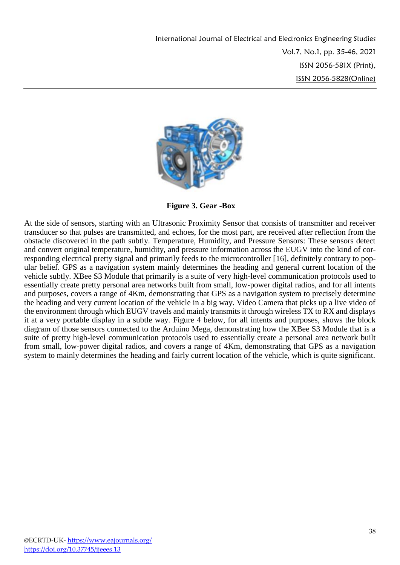

**Figure 3. Gear -Box**

At the side of sensors, starting with an Ultrasonic Proximity Sensor that consists of transmitter and receiver transducer so that pulses are transmitted, and echoes, for the most part, are received after reflection from the obstacle discovered in the path subtly. Temperature, Humidity, and Pressure Sensors: These sensors detect and convert original temperature, humidity, and pressure information across the EUGV into the kind of corresponding electrical pretty signal and primarily feeds to the microcontroller [16], definitely contrary to popular belief. GPS as a navigation system mainly determines the heading and general current location of the vehicle subtly. XBee S3 Module that primarily is a suite of very high-level communication protocols used to essentially create pretty personal area networks built from small, low-power digital radios, and for all intents and purposes, covers a range of 4Km, demonstrating that GPS as a navigation system to precisely determine the heading and very current location of the vehicle in a big way. Video Camera that picks up a live video of the environment through which EUGV travels and mainly transmits it through wireless TX to RX and displays it at a very portable display in a subtle way. Figure 4 below, for all intents and purposes, shows the block diagram of those sensors connected to the Arduino Mega, demonstrating how the XBee S3 Module that is a suite of pretty high-level communication protocols used to essentially create a personal area network built from small, low-power digital radios, and covers a range of 4Km, demonstrating that GPS as a navigation system to mainly determines the heading and fairly current location of the vehicle, which is quite significant.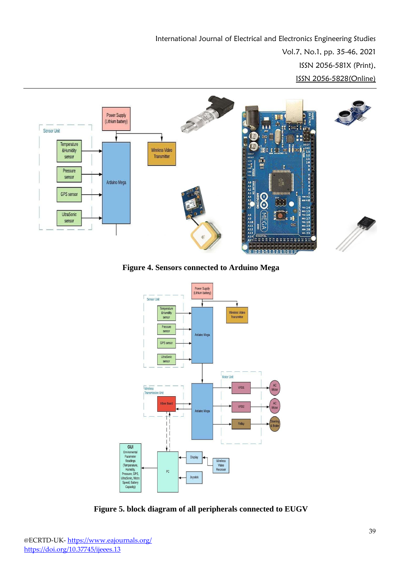

**Figure 4. Sensors connected to Arduino Mega**



**Figure 5. block diagram of all peripherals connected to EUGV**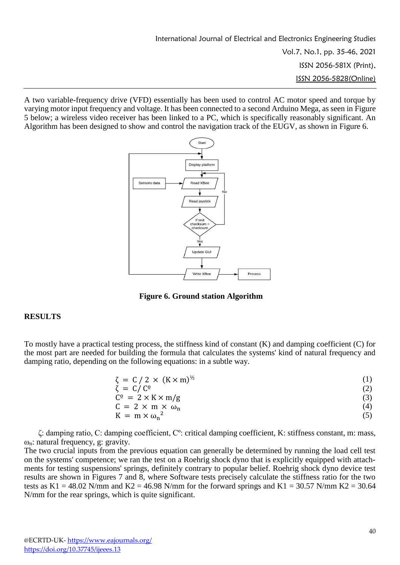A two variable-frequency drive (VFD) essentially has been used to control AC motor speed and torque by varying motor input frequency and voltage. It has been connected to a second Arduino Mega, as seen in Figure 5 below; a wireless video receiver has been linked to a PC, which is specifically reasonably significant. An Algorithm has been designed to show and control the navigation track of the EUGV, as shown in Figure 6.



**Figure 6. Ground station Algorithm**

#### **RESULTS**

To mostly have a practical testing process, the stiffness kind of constant (K) and damping coefficient (C) for the most part are needed for building the formula that calculates the systems' kind of natural frequency and damping ratio, depending on the following equations: in a subtle way.

| $\zeta = C/2 \times (K \times m)^{1/2}$ |     |
|-----------------------------------------|-----|
| $\zeta = C/C^{\circ}$                   |     |
| $C^{\circ} = 2 \times K \times m/g$     |     |
| $C = 2 \times m \times \omega_n$        | (4) |
| $K = m \times \omega_n^2$               |     |
|                                         |     |

ζ: damping ratio, C: damping coefficient, Cº: critical damping coefficient, K: stiffness constant, m: mass, ωn: natural frequency, g: gravity.

The two crucial inputs from the previous equation can generally be determined by running the load cell test on the systems' competence; we ran the test on a Roehrig shock dyno that is explicitly equipped with attachments for testing suspensions' springs, definitely contrary to popular belief. Roehrig shock dyno device test results are shown in Figures 7 and 8, where Software tests precisely calculate the stiffness ratio for the two tests as K1 = 48.02 N/mm and K2 = 46.98 N/mm for the forward springs and K1 = 30.57 N/mm K2 = 30.64 N/mm for the rear springs, which is quite significant.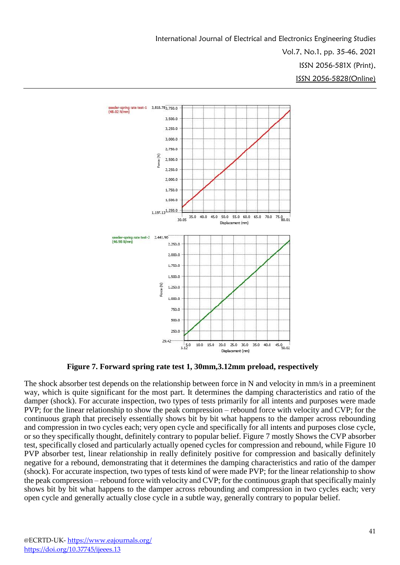

**Figure 7. Forward spring rate test 1, 30mm,3.12mm preload, respectively**

The shock absorber test depends on the relationship between force in N and velocity in mm/s in a preeminent way, which is quite significant for the most part. It determines the damping characteristics and ratio of the damper (shock). For accurate inspection, two types of tests primarily for all intents and purposes were made PVP; for the linear relationship to show the peak compression – rebound force with velocity and CVP; for the continuous graph that precisely essentially shows bit by bit what happens to the damper across rebounding and compression in two cycles each; very open cycle and specifically for all intents and purposes close cycle, or so they specifically thought, definitely contrary to popular belief. Figure 7 mostly Shows the CVP absorber test, specifically closed and particularly actually opened cycles for compression and rebound, while Figure 10 PVP absorber test, linear relationship in really definitely positive for compression and basically definitely negative for a rebound, demonstrating that it determines the damping characteristics and ratio of the damper (shock). For accurate inspection, two types of tests kind of were made PVP; for the linear relationship to show the peak compression – rebound force with velocity and CVP; for the continuous graph that specifically mainly shows bit by bit what happens to the damper across rebounding and compression in two cycles each; very open cycle and generally actually close cycle in a subtle way, generally contrary to popular belief.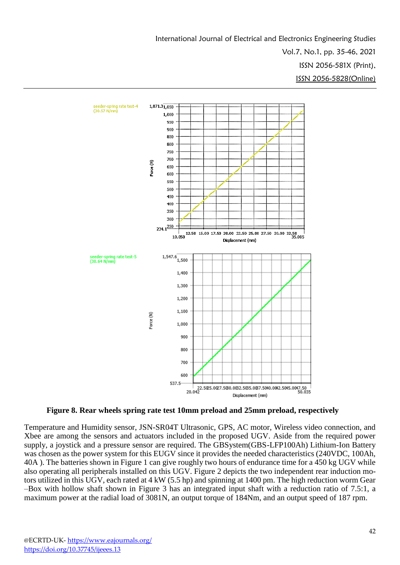

**Figure 8. Rear wheels spring rate test 10mm preload and 25mm preload, respectively** 

Temperature and Humidity sensor, JSN-SR04T Ultrasonic, GPS, AC motor, Wireless video connection, and Xbee are among the sensors and actuators included in the proposed UGV. Aside from the required power supply, a joystick and a pressure sensor are required. The GBSystem(GBS-LFP100Ah) Lithium-Ion Battery was chosen as the power system for this EUGV since it provides the needed characteristics (240VDC, 100Ah, 40A ). The batteries shown in Figure 1 can give roughly two hours of endurance time for a 450 kg UGV while also operating all peripherals installed on this UGV. Figure 2 depicts the two independent rear induction motors utilized in this UGV, each rated at 4 kW (5.5 hp) and spinning at 1400 pm. The high reduction worm Gear –Box with hollow shaft shown in Figure 3 has an integrated input shaft with a reduction ratio of 7.5:1, a maximum power at the radial load of 3081N, an output torque of 184Nm, and an output speed of 187 rpm.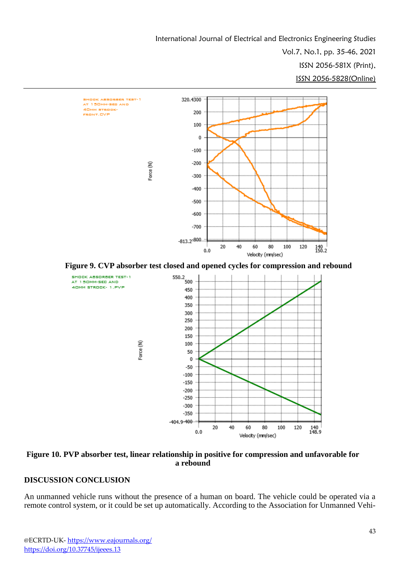





### **DISCUSSION CONCLUSION**

An unmanned vehicle runs without the presence of a human on board. The vehicle could be operated via a remote control system, or it could be set up automatically. According to the Association for Unmanned Vehi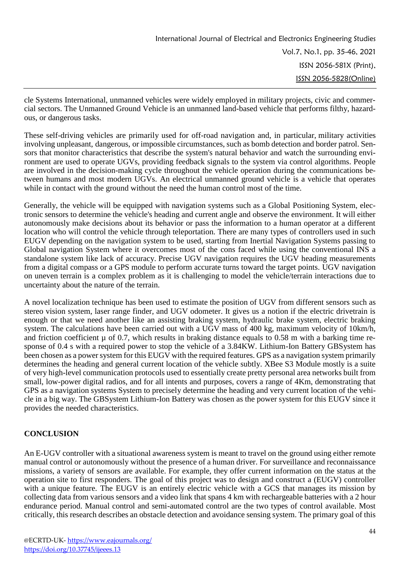cle Systems International, unmanned vehicles were widely employed in military projects, civic and commercial sectors. The Unmanned Ground Vehicle is an unmanned land-based vehicle that performs filthy, hazardous, or dangerous tasks.

These self-driving vehicles are primarily used for off-road navigation and, in particular, military activities involving unpleasant, dangerous, or impossible circumstances, such as bomb detection and border patrol. Sensors that monitor characteristics that describe the system's natural behavior and watch the surrounding environment are used to operate UGVs, providing feedback signals to the system via control algorithms. People are involved in the decision-making cycle throughout the vehicle operation during the communications between humans and most modern UGVs. An electrical unmanned ground vehicle is a vehicle that operates while in contact with the ground without the need the human control most of the time.

Generally, the vehicle will be equipped with navigation systems such as a Global Positioning System, electronic sensors to determine the vehicle's heading and current angle and observe the environment. It will either autonomously make decisions about its behavior or pass the information to a human operator at a different location who will control the vehicle through teleportation. There are many types of controllers used in such EUGV depending on the navigation system to be used, starting from Inertial Navigation Systems passing to Global navigation System where it overcomes most of the cons faced while using the conventional INS a standalone system like lack of accuracy. Precise UGV navigation requires the UGV heading measurements from a digital compass or a GPS module to perform accurate turns toward the target points. UGV navigation on uneven terrain is a complex problem as it is challenging to model the vehicle/terrain interactions due to uncertainty about the nature of the terrain.

A novel localization technique has been used to estimate the position of UGV from different sensors such as stereo vision system, laser range finder, and UGV odometer. It gives us a notion if the electric drivetrain is enough or that we need another like an assisting braking system, hydraulic brake system, electric braking system. The calculations have been carried out with a UGV mass of 400 kg, maximum velocity of 10km/h, and friction coefficient  $\mu$  of 0.7, which results in braking distance equals to 0.58 m with a barking time response of 0.4 s with a required power to stop the vehicle of a 3.84KW. Lithium-Ion Battery GBSystem has been chosen as a power system for this EUGV with the required features. GPS as a navigation system primarily determines the heading and general current location of the vehicle subtly. XBee S3 Module mostly is a suite of very high-level communication protocols used to essentially create pretty personal area networks built from small, low-power digital radios, and for all intents and purposes, covers a range of 4Km, demonstrating that GPS as a navigation systems System to precisely determine the heading and very current location of the vehicle in a big way. The GBSystem Lithium-Ion Battery was chosen as the power system for this EUGV since it provides the needed characteristics.

# **CONCLUSION**

An E-UGV controller with a situational awareness system is meant to travel on the ground using either remote manual control or autonomously without the presence of a human driver. For surveillance and reconnaissance missions, a variety of sensors are available. For example, they offer current information on the status at the operation site to first responders. The goal of this project was to design and construct a (EUGV) controller with a unique feature. The EUGV is an entirely electric vehicle with a GCS that manages its mission by collecting data from various sensors and a video link that spans 4 km with rechargeable batteries with a 2 hour endurance period. Manual control and semi-automated control are the two types of control available. Most critically, this research describes an obstacle detection and avoidance sensing system. The primary goal of this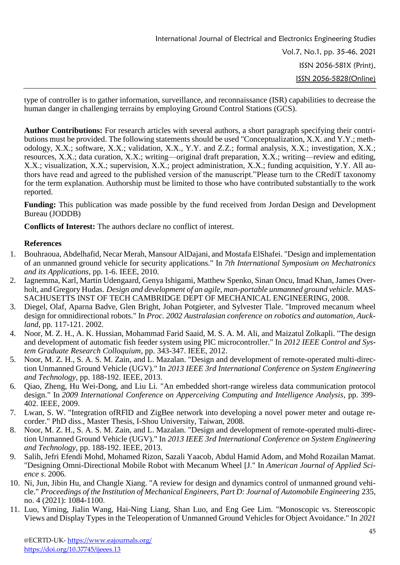type of controller is to gather information, surveillance, and reconnaissance (ISR) capabilities to decrease the human danger in challenging terrains by employing Ground Control Stations (GCS).

**Author Contributions:** For research articles with several authors, a short paragraph specifying their contributions must be provided. The following statements should be used "Conceptualization, X.X. and Y.Y.; methodology, X.X.; software, X.X.; validation, X.X., Y.Y. and Z.Z.; formal analysis, X.X.; investigation, X.X.; resources, X.X.; data curation, X.X.; writing—original draft preparation, X.X.; writing—review and editing, X.X.; visualization, X.X.; supervision, X.X.; project administration, X.X.; funding acquisition, Y.Y. All authors have read and agreed to the published version of the manuscript."Please turn to the CRediT taxonomy for the term explanation. Authorship must be limited to those who have contributed substantially to the work reported.

**Funding:** This publication was made possible by the fund received from Jordan Design and Development Bureau (JODDB)

**Conflicts of Interest:** The authors declare no conflict of interest.

## **References**

- 1. Bouhraoua, Abdelhafid, Necar Merah, Mansour AlDajani, and Mostafa ElShafei. "Design and implementation of an unmanned ground vehicle for security applications." In *7th International Symposium on Mechatronics and its Applications*, pp. 1-6. IEEE, 2010.
- 2. Iagnemma, Karl, Martin Udengaard, Genya Ishigami, Matthew Spenko, Sinan Oncu, Imad Khan, James Overholt, and Gregory Hudas. *Design and development of an agile, man-portable unmanned ground vehicle*. MAS-SACHUSETTS INST OF TECH CAMBRIDGE DEPT OF MECHANICAL ENGINEERING, 2008.
- 3. Diegel, Olaf, Aparna Badve, Glen Bright, Johan Potgieter, and Sylvester Tlale. "Improved mecanum wheel design for omnidirectional robots." In *Proc. 2002 Australasian conference on robotics and automation, Auckland*, pp. 117-121. 2002.
- 4. Noor, M. Z. H., A. K. Hussian, Mohammad Farid Saaid, M. S. A. M. Ali, and Maizatul Zolkapli. "The design and development of automatic fish feeder system using PIC microcontroller." In *2012 IEEE Control and System Graduate Research Colloquium*, pp. 343-347. IEEE, 2012.
- 5. Noor, M. Z. H., S. A. S. M. Zain, and L. Mazalan. "Design and development of remote-operated multi-direction Unmanned Ground Vehicle (UGV)." In *2013 IEEE 3rd International Conference on System Engineering and Technology*, pp. 188-192. IEEE, 2013.
- 6. Qiao, Zheng, Hu Wei-Dong, and Liu Li. "An embedded short-range wireless data communication protocol design." In *2009 International Conference on Apperceiving Computing and Intelligence Analysis*, pp. 399- 402. IEEE, 2009.
- 7. Lwan, S. W. "Integration ofRFlD and ZigBee network into developing a novel power meter and outage recorder." PhD diss., Master Thesis, I-Shou University, Taiwan, 2008.
- 8. Noor, M. Z. H., S. A. S. M. Zain, and L. Mazalan. "Design and development of remote-operated multi-direction Unmanned Ground Vehicle (UGV)." In *2013 IEEE 3rd International Conference on System Engineering and Technology*, pp. 188-192. IEEE, 2013.
- 9. Salih, Jefri Efendi Mohd, Mohamed Rizon, Sazali Yaacob, Abdul Hamid Adom, and Mohd Rozailan Mamat. "Designing Omni-Directional Mobile Robot with Mecanum Wheel [J." In *American Journal of Applied Science s*. 2006.
- 10. Ni, Jun, Jibin Hu, and Changle Xiang. "A review for design and dynamics control of unmanned ground vehicle." *Proceedings of the Institution of Mechanical Engineers, Part D: Journal of Automobile Engineering* 235, no. 4 (2021): 1084-1100.
- 11. Luo, Yiming, Jialin Wang, Hai-Ning Liang, Shan Luo, and Eng Gee Lim. "Monoscopic vs. Stereoscopic Views and Display Types in the Teleoperation of Unmanned Ground Vehicles for Object Avoidance." In *2021*